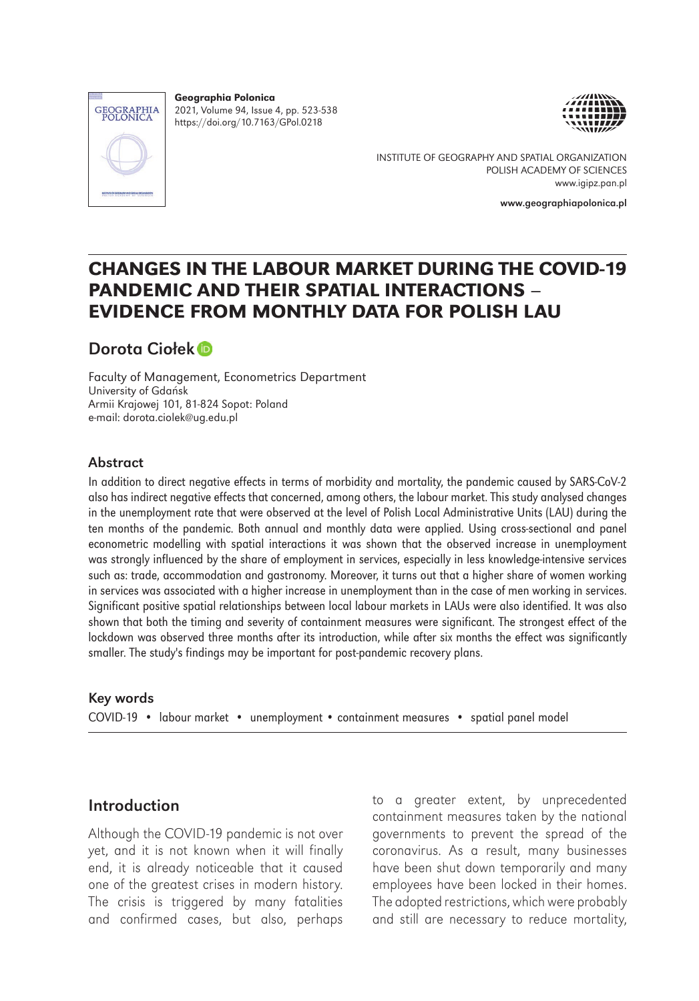

Geographia Polonica 2021, Volume 94, Issue 4, pp. 523-538 https://doi.org/10.7163/GPol.0218



INSTITUTE OF GEOGRAPHY AND SPATIAL ORGANIZATION POLISH ACADEMY OF SCIENCES www.igipz.pan.pl

www.geographiapolonica.pl

# CHANGES IN THE LABOUR MARKET DURING THE COVID-19 PANDEMIC AND THEIR SPATIAL INTERACTIONS – EVIDENCE FROM MONTHLY DATA FOR POLISH LAU

## Dorota Ciołe[k](https://orcid.org/0000-0001-7042-6638)

Faculty of Management, Econometrics Department University of Gdańsk Armii Krajowej 101, 81-824 Sopot: Poland e-mail: dorota.ciolek@ug.edu.pl

#### Abstract

In addition to direct negative effects in terms of morbidity and mortality, the pandemic caused by SARS-CoV-2 also has indirect negative effects that concerned, among others, the labour market. This study analysed changes in the unemployment rate that were observed at the level of Polish Local Administrative Units (LAU) during the ten months of the pandemic. Both annual and monthly data were applied. Using cross-sectional and panel econometric modelling with spatial interactions it was shown that the observed increase in unemployment was strongly influenced by the share of employment in services, especially in less knowledge-intensive services such as: trade, accommodation and gastronomy. Moreover, it turns out that a higher share of women working in services was associated with a higher increase in unemployment than in the case of men working in services. Significant positive spatial relationships between local labour markets in LAUs were also identified. It was also shown that both the timing and severity of containment measures were significant. The strongest effect of the lockdown was observed three months after its introduction, while after six months the effect was significantly smaller. The study's findings may be important for post-pandemic recovery plans.

#### Key words

COVID-19 • labour market • unemployment • containment measures • spatial panel model

### Introduction

Although the COVID-19 pandemic is not over yet, and it is not known when it will finally end, it is already noticeable that it caused one of the greatest crises in modern history. The crisis is triggered by many fatalities and confirmed cases, but also, perhaps

to a greater extent, by unprecedented containment measures taken by the national governments to prevent the spread of the coronavirus. As a result, many businesses have been shut down temporarily and many employees have been locked in their homes. The adopted restrictions, which were probably and still are necessary to reduce mortality,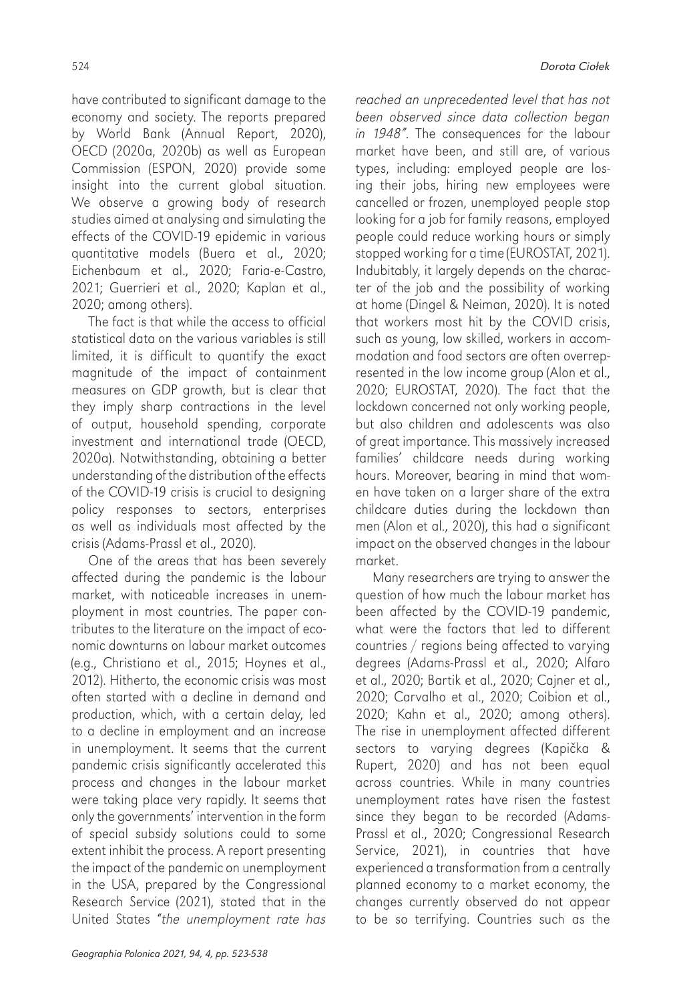have contributed to significant damage to the economy and society. The reports prepared by World Bank (Annual Report, 2020), OECD (2020a, 2020b) as well as European Commission (ESPON, 2020) provide some insight into the current global situation. We observe a growing body of research studies aimed at analysing and simulating the effects of the COVID-19 epidemic in various quantitative models (Buera et al., 2020; Eichenbaum et al., 2020; Faria-e-Castro, 2021; Guerrieri et al., 2020; Kaplan et al., 2020; among others).

The fact is that while the access to official statistical data on the various variables is still limited, it is difficult to quantify the exact magnitude of the impact of containment measures on GDP growth, but is clear that they imply sharp contractions in the level of output, household spending, corporate investment and international trade (OECD, 2020a). Notwithstanding, obtaining a better understanding of the distribution of the effects of the COVID-19 crisis is crucial to designing policy responses to sectors, enterprises as well as individuals most affected by the crisis (Adams-Prassl et al., 2020).

One of the areas that has been severely affected during the pandemic is the labour market, with noticeable increases in unemployment in most countries. The paper contributes to the literature on the impact of economic downturns on labour market outcomes (e.g., Christiano et al., 2015; Hoynes et al., 2012). Hitherto, the economic crisis was most often started with a decline in demand and production, which, with a certain delay, led to a decline in employment and an increase in unemployment. It seems that the current pandemic crisis significantly accelerated this process and changes in the labour market were taking place very rapidly. It seems that only the governments' intervention in the form of special subsidy solutions could to some extent inhibit the process. A report presenting the impact of the pandemic on unemployment in the USA, prepared by the Congressional Research Service (2021), stated that in the United States "the unemployment rate has

reached an unprecedented level that has not been observed since data collection began in 1948". The consequences for the labour market have been, and still are, of various types, including: employed people are losing their jobs, hiring new employees were cancelled or frozen, unemployed people stop looking for a job for family reasons, employed people could reduce working hours or simply stopped working for a time (EUROSTAT, 2021). Indubitably, it largely depends on the character of the job and the possibility of working at home (Dingel & Neiman, 2020). It is noted that workers most hit by the COVID crisis, such as young, low skilled, workers in accommodation and food sectors are often overrepresented in the low income group (Alon et al., 2020; EUROSTAT, 2020). The fact that the lockdown concerned not only working people, but also children and adolescents was also of great importance. This massively increased families' childcare needs during working hours. Moreover, bearing in mind that women have taken on a larger share of the extra childcare duties during the lockdown than men (Alon et al., 2020), this had a significant impact on the observed changes in the labour market.

Many researchers are trying to answer the question of how much the labour market has been affected by the COVID-19 pandemic, what were the factors that led to different countries / regions being affected to varying degrees (Adams-Prassl et al., 2020; Alfaro et al., 2020; Bartik et al., 2020; Cajner et al., 2020; Carvalho et al., 2020; Coibion et al., 2020; Kahn et al., 2020; among others). The rise in unemployment affected different sectors to varying degrees (Kapička & Rupert, 2020) and has not been equal across countries. While in many countries unemployment rates have risen the fastest since they began to be recorded (Adams-Prassl et al., 2020; Congressional Research Service, 2021), in countries that have experienced a transformation from a centrally planned economy to a market economy, the changes currently observed do not appear to be so terrifying. Countries such as the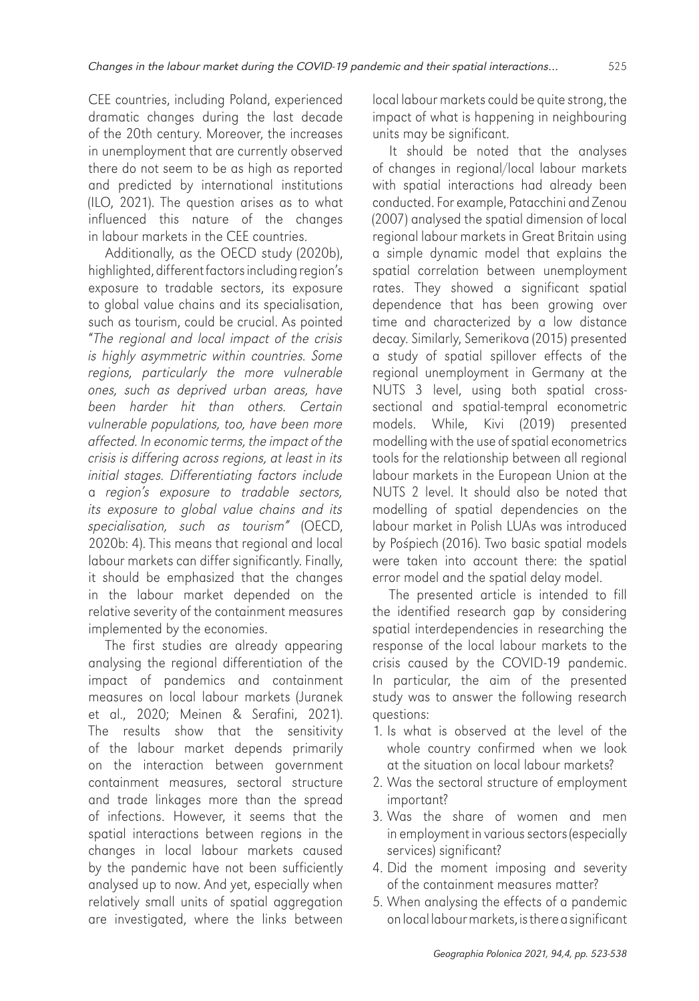CEE countries, including Poland, experienced dramatic changes during the last decade of the 20th century. Moreover, the increases in unemployment that are currently observed there do not seem to be as high as reported and predicted by international institutions (ILO, 2021). The question arises as to what influenced this nature of the changes in labour markets in the CEE countries.

Additionally, as the OECD study (2020b), highlighted, different factors including region's exposure to tradable sectors, its exposure to global value chains and its specialisation, such as tourism, could be crucial. As pointed "The regional and local impact of the crisis is highly asymmetric within countries. Some regions, particularly the more vulnerable ones, such as deprived urban areas, have been harder hit than others. Certain vulnerable populations, too, have been more affected. In economic terms, the impact of the crisis is differing across regions, at least in its initial stages. Differentiating factors include a region's exposure to tradable sectors, its exposure to global value chains and its specialisation, such as tourism" (OECD, 2020b: 4). This means that regional and local labour markets can differ significantly. Finally, it should be emphasized that the changes in the labour market depended on the relative severity of the containment measures implemented by the economies.

The first studies are already appearing analysing the regional differentiation of the impact of pandemics and containment measures on local labour markets (Juranek et al., 2020; Meinen & Serafini, 2021). The results show that the sensitivity of the labour market depends primarily on the interaction between government containment measures, sectoral structure and trade linkages more than the spread of infections. However, it seems that the spatial interactions between regions in the changes in local labour markets caused by the pandemic have not been sufficiently analysed up to now. And yet, especially when relatively small units of spatial aggregation are investigated, where the links between

local labour markets could be quite strong, the impact of what is happening in neighbouring units may be significant.

It should be noted that the analyses of changes in regional/local labour markets with spatial interactions had already been conducted. For example, Patacchini and Zenou (2007) analysed the spatial dimension of local regional labour markets in Great Britain using a simple dynamic model that explains the spatial correlation between unemployment rates. They showed a significant spatial dependence that has been growing over time and characterized by a low distance decay. Similarly, Semerikova (2015) presented a study of spatial spillover effects of the regional unemployment in Germany at the NUTS 3 level, using both spatial crosssectional and spatial-tempral econometric models. While, Kivi (2019) presented modelling with the use of spatial econometrics tools for the relationship between all regional labour markets in the European Union at the NUTS 2 level. It should also be noted that modelling of spatial dependencies on the labour market in Polish LUAs was introduced by Pośpiech (2016). Two basic spatial models were taken into account there: the spatial error model and the spatial delay model.

The presented article is intended to fill the identified research gap by considering spatial interdependencies in researching the response of the local labour markets to the crisis caused by the COVID-19 pandemic. In particular, the aim of the presented study was to answer the following research questions:

- 1. Is what is observed at the level of the whole country confirmed when we look at the situation on local labour markets?
- 2. Was the sectoral structure of employment important?
- 3. Was the share of women and men in employment in various sectors (especially services) significant?
- 4. Did the moment imposing and severity of the containment measures matter?
- 5. When analysing the effects of a pandemic onlocal labour markets, isthere a significant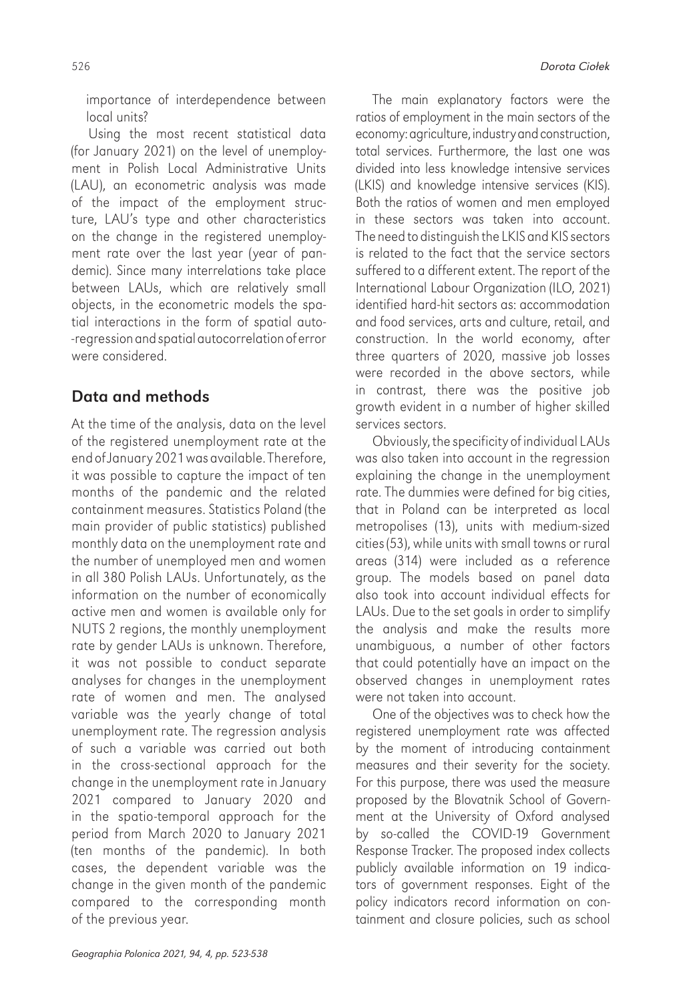importance of interdependence between local units?

Using the most recent statistical data (for January 2021) on the level of unemployment in Polish Local Administrative Units (LAU), an econometric analysis was made of the impact of the employment structure, LAU's type and other characteristics on the change in the registered unemployment rate over the last year (year of pandemic). Since many interrelations take place between LAUs, which are relatively small objects, in the econometric models the spatial interactions in the form of spatial auto- -regression and spatial autocorrelation oferror were considered.

## Data and methods

At the time of the analysis, data on the level of the registered unemployment rate at the end ofJanuary 2021 was available. Therefore, it was possible to capture the impact of ten months of the pandemic and the related containment measures. Statistics Poland (the main provider of public statistics) published monthly data on the unemployment rate and the number of unemployed men and women in all 380 Polish LAUs. Unfortunately, as the information on the number of economically active men and women is available only for NUTS 2 regions, the monthly unemployment rate by gender LAUs is unknown. Therefore, it was not possible to conduct separate analyses for changes in the unemployment rate of women and men. The analysed variable was the yearly change of total unemployment rate. The regression analysis of such a variable was carried out both in the cross-sectional approach for the change in the unemployment rate in January 2021 compared to January 2020 and in the spatio-temporal approach for the period from March 2020 to January 2021 (ten months of the pandemic). In both cases, the dependent variable was the change in the given month of the pandemic compared to the corresponding month of the previous year.

The main explanatory factors were the ratios of employment in the main sectors of the economy: agriculture, industry and construction, total services. Furthermore, the last one was divided into less knowledge intensive services (LKIS) and knowledge intensive services (KIS). Both the ratios of women and men employed in these sectors was taken into account. The need to distinguish the LKIS and KIS sectors is related to the fact that the service sectors suffered to a different extent. The report of the International Labour Organization (ILO, 2021) identified hard-hit sectors as: accommodation and food services, arts and culture, retail, and construction. In the world economy, after three quarters of 2020, massive job losses were recorded in the above sectors, while in contrast, there was the positive job growth evident in a number of higher skilled services sectors.

Obviously, the specificity of individual LAUs was also taken into account in the regression explaining the change in the unemployment rate. The dummies were defined for big cities, that in Poland can be interpreted as local metropolises (13), units with medium-sized cities (53), while units with small towns or rural areas (314) were included as a reference group. The models based on panel data also took into account individual effects for LAUs. Due to the set goals in order to simplify the analysis and make the results more unambiguous, a number of other factors that could potentially have an impact on the observed changes in unemployment rates were not taken into account.

One of the objectives was to check how the registered unemployment rate was affected by the moment of introducing containment measures and their severity for the society. For this purpose, there was used the measure proposed by the Blovatnik School of Government at the University of Oxford analysed by so-called the COVID-19 Government Response Tracker. The proposed index collects publicly available information on 19 indicators of government responses. Eight of the policy indicators record information on containment and closure policies, such as school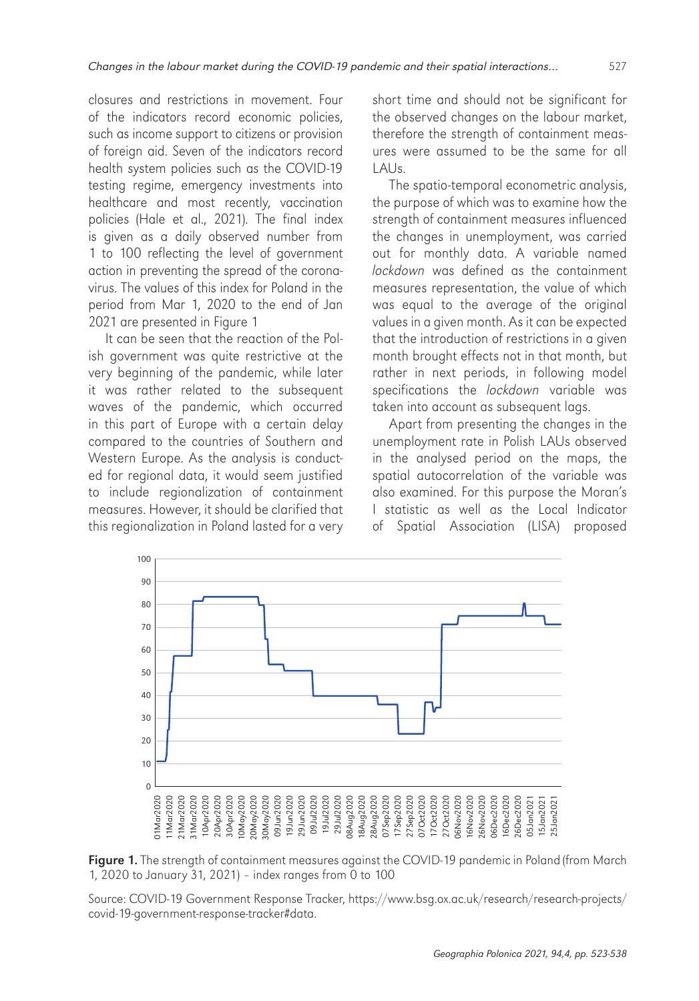closures and restrictions in movement. Four of the indicators record economic policies, such as income support to citizens or provision of foreign aid. Seven of the indicators record health system policies such as the COVID-19 testing regime, emergency investments into healthcare and most recently, vaccination policies (Hale et al., 2021). The final index is given as a daily observed number from 1 to 100 reflecting the level of government action in preventing the spread of the coronavirus. The values of this index for Poland in the period from Mar 1, 2020 to the end of Jan 2021 are presented in Figure 1

It can be seen that the reaction of the Polish government was quite restrictive at the very beginning of the pandemic, while later it was rather related to the subsequent waves of the pandemic, which occurred in this part of Europe with a certain delay compared to the countries of Southern and Western Europe. As the analysis is conducted for regional data, it would seem justified to include regionalization of containment measures. However, it should be clarified that this regionalization in Poland lasted for a very

short time and should not be significant for the observed changes on the labour market, therefore the strength of containment measures were assumed to be the same for all  $|A|$ s.

The spatio-temporal econometric analysis, the purpose of which was to examine how the strength of containment measures influenced the changes in unemployment, was carried out for monthly data. A variable named lockdown was defined as the containment measures representation, the value of which was equal to the average of the original values in a given month. As it can be expected that the introduction of restrictions in a given month brought effects not in that month, but rather in next periods, in following model specifications the lockdown variable was taken into account as subsequent lags.

Apart from presenting the changes in the unemployment rate in Polish LAUs observed in the analysed period on the maps, the spatial autocorrelation of the variable was also examined. For this purpose the Moran's I statistic as well as the Local Indicator of Spatial Association (LISA) proposed



Figure 1. The strength of containment measures against the COVID-19 pandemic in Poland (from March 1, 2020 to January 31, 2021) – index ranges from 0 to 100

Source: COVID-19 Government Response Tracker, [https://www.bsg.ox.ac.uk/research/research-projects/](https://www.bsg.ox.ac.uk/research/research-projects/covid-19-government-response-tracker#data) [covid-19-government-response-tracker#data.](https://www.bsg.ox.ac.uk/research/research-projects/covid-19-government-response-tracker#data)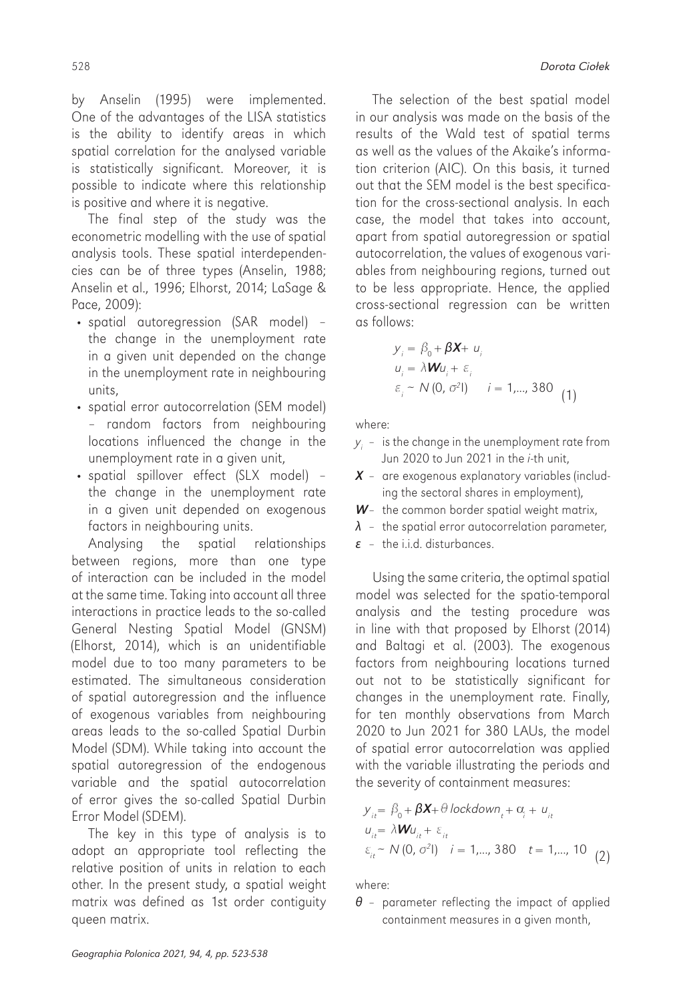by Anselin (1995) were implemented. One of the advantages of the LISA statistics is the ability to identify areas in which spatial correlation for the analysed variable is statistically significant. Moreover, it is possible to indicate where this relationship is positive and where it is negative.

The final step of the study was the econometric modelling with the use of spatial analysis tools. These spatial interdependencies can be of three types (Anselin, 1988; Anselin et al., 1996; Elhorst, 2014; LaSage & Pace, 2009):

- spatial autoregression (SAR model) the change in the unemployment rate in a given unit depended on the change in the unemployment rate in neighbouring units,
- spatial error autocorrelation (SEM model) – random factors from neighbouring locations influenced the change in the unemployment rate in a given unit,
- spatial spillover effect (SLX model) the change in the unemployment rate in a given unit depended on exogenous factors in neighbouring units.

Analysing the spatial relationships between regions, more than one type of interaction can be included in the model at the same time. Taking into account all three interactions in practice leads to the so-called General Nesting Spatial Model (GNSM) (Elhorst, 2014), which is an unidentifiable model due to too many parameters to be estimated. The simultaneous consideration of spatial autoregression and the influence of exogenous variables from neighbouring areas leads to the so-called Spatial Durbin Model (SDM). While taking into account the spatial autoregression of the endogenous variable and the spatial autocorrelation of error gives the so-called Spatial Durbin Error Model (SDEM).

The key in this type of analysis is to adopt an appropriate tool reflecting the relative position of units in relation to each other. In the present study, a spatial weight matrix was defined as 1st order contiguity queen matrix.

The selection of the best spatial model in our analysis was made on the basis of the results of the Wald test of spatial terms as well as the values of the Akaike's information criterion (AIC). On this basis, it turned out that the SEM model is the best specification for the cross-sectional analysis. In each case, the model that takes into account, apart from spatial autoregression or spatial autocorrelation, the values of exogenous variables from neighbouring regions, turned out to be less appropriate. Hence, the applied cross-sectional regression can be written as follows:

$$
y_i = \beta_0 + \beta X + u_i
$$
  
\n
$$
u_i = \lambda W u_i + \varepsilon_i
$$
  
\n
$$
\varepsilon_i \sim N(0, \sigma^2 I) \qquad i = 1, ..., 380
$$
 (1)

where:

- $y_i$  is the change in the unemployment rate from Jun 2020 to Jun 2021 in the *i-th unit*,
- *X* are exogenous explanatory variables (including the sectoral shares in employment),
- *W* the common border spatial weight matrix,
- $\lambda$  the spatial error autocorrelation parameter,
- *ε* the i.i.d. disturbances.

Using the same criteria, the optimal spatial model was selected for the spatio-temporal analysis and the testing procedure was in line with that proposed by Elhorst (2014) and Baltagi et al. (2003). The exogenous factors from neighbouring locations turned out not to be statistically significant for changes in the unemployment rate. Finally, for ten monthly observations from March 2020 to Jun 2021 for 380 LAUs, the model of spatial error autocorrelation was applied with the variable illustrating the periods and the severity of containment measures:

$$
y_{it} = \beta_0 + \beta \mathbf{X} + \theta \operatorname{lockdown}_t + c_i + u_{it}
$$
  
\n
$$
u_{it} = \lambda \mathbf{W} u_{it} + \varepsilon_{it}
$$
  
\n
$$
\varepsilon_{it} \sim N(0, \sigma^2 I) \quad i = 1, ..., 380 \quad t = 1, ..., 10 \quad (2)
$$

where:

*θ* – parameter reflecting the impact of applied containment measures in a given month,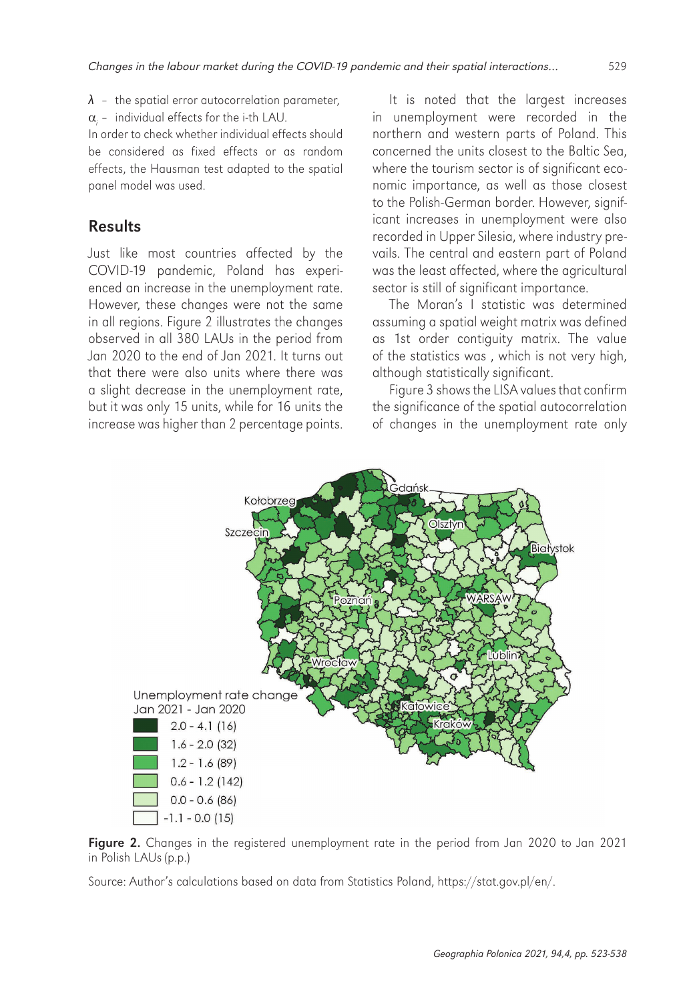- *λ* the spatial error autocorrelation parameter,
- $\alpha$  individual effects for the i-th LAU.

In order to check whether individual effects should be considered as fixed effects or as random effects, the Hausman test adapted to the spatial panel model was used.

### Results

Just like most countries affected by the COVID-19 pandemic, Poland has experienced an increase in the unemployment rate. However, these changes were not the same in all regions. Figure 2 illustrates the changes observed in all 380 LAUs in the period from Jan 2020 to the end of Jan 2021. It turns out that there were also units where there was a slight decrease in the unemployment rate, but it was only 15 units, while for 16 units the increase was higher than 2 percentage points.

It is noted that the largest increases in unemployment were recorded in the northern and western parts of Poland. This concerned the units closest to the Baltic Sea, where the tourism sector is of significant economic importance, as well as those closest to the Polish-German border. However, significant increases in unemployment were also recorded in Upper Silesia, where industry prevails. The central and eastern part of Poland was the least affected, where the agricultural sector is still of significant importance.

The Moran's I statistic was determined assuming a spatial weight matrix was defined as 1st order contiguity matrix. The value of the statistics was , which is not very high, although statistically significant.

Figure 3 shows the LISA values that confirm the significance of the spatial autocorrelation of changes in the unemployment rate only



Figure 2. Changes in the registered unemployment rate in the period from Jan 2020 to Jan 2021 in Polish LAUs (p.p.)

Source: Author's calculations based on data from Statistics Poland, <https://stat.gov.pl/en/>.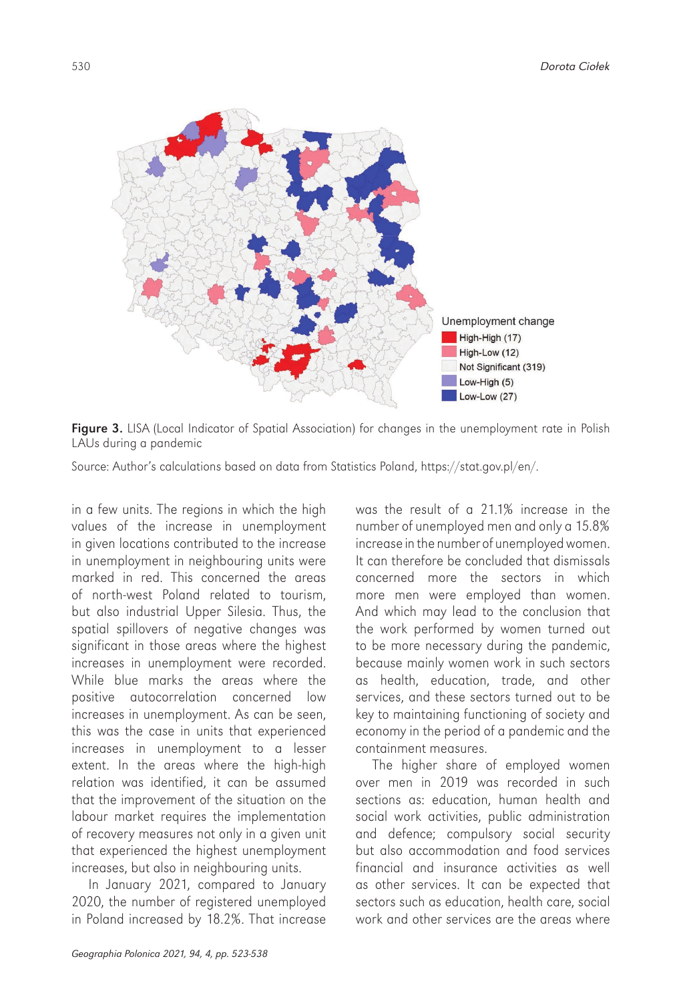

Figure 3. LISA (Local Indicator of Spatial Association) for changes in the unemployment rate in Polish LAUs during a pandemic

Source: Author's calculations based on data from Statistics Poland,<https://stat.gov.pl/en/>.

in a few units. The regions in which the high values of the increase in unemployment in given locations contributed to the increase in unemployment in neighbouring units were marked in red. This concerned the areas of north-west Poland related to tourism, but also industrial Upper Silesia. Thus, the spatial spillovers of negative changes was significant in those areas where the highest increases in unemployment were recorded. While blue marks the areas where the positive autocorrelation concerned low increases in unemployment. As can be seen, this was the case in units that experienced increases in unemployment to a lesser extent. In the areas where the high-high relation was identified, it can be assumed that the improvement of the situation on the labour market requires the implementation of recovery measures not only in a given unit that experienced the highest unemployment increases, but also in neighbouring units.

In January 2021, compared to January 2020, the number of registered unemployed in Poland increased by 18.2%. That increase

was the result of a 21.1% increase in the number of unemployed men and only a 15.8% increase in the number of unemployed women. It can therefore be concluded that dismissals concerned more the sectors in which more men were employed than women. And which may lead to the conclusion that the work performed by women turned out to be more necessary during the pandemic, because mainly women work in such sectors as health, education, trade, and other services, and these sectors turned out to be key to maintaining functioning of society and economy in the period of a pandemic and the containment measures.

The higher share of employed women over men in 2019 was recorded in such sections as: education, human health and social work activities, public administration and defence; compulsory social security but also accommodation and food services financial and insurance activities as well as other services. It can be expected that sectors such as education, health care, social work and other services are the areas where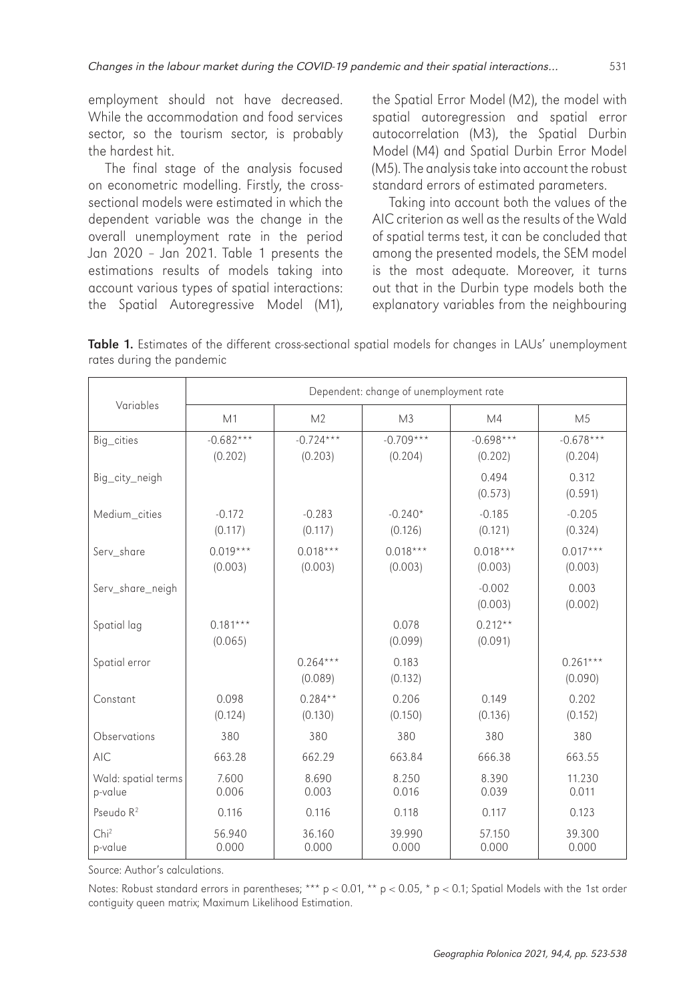employment should not have decreased. While the accommodation and food services sector, so the tourism sector, is probably the hardest hit.

The final stage of the analysis focused on econometric modelling. Firstly, the crosssectional models were estimated in which the dependent variable was the change in the overall unemployment rate in the period Jan 2020 – Jan 2021. Table 1 presents the estimations results of models taking into account various types of spatial interactions: the Spatial Autoregressive Model (M1),

the Spatial Error Model (M2), the model with spatial autoregression and spatial error autocorrelation (M3), the Spatial Durbin Model (M4) and Spatial Durbin Error Model (M5). The analysis take into account the robust standard errors of estimated parameters.

Taking into account both the values of the AIC criterion as well as the results of the Wald of spatial terms test, it can be concluded that among the presented models, the SEM model is the most adequate. Moreover, it turns out that in the Durbin type models both the explanatory variables from the neighbouring

Table 1. Estimates of the different cross-sectional spatial models for changes in LAUs' unemployment rates during the pandemic

| Variables                      | Dependent: change of unemployment rate |                        |                        |                        |                        |  |  |  |
|--------------------------------|----------------------------------------|------------------------|------------------------|------------------------|------------------------|--|--|--|
|                                | M1                                     | M <sub>2</sub>         | M <sub>3</sub>         | M4                     | M <sub>5</sub>         |  |  |  |
| Big_cities                     | $-0.682***$<br>(0.202)                 | $-0.724***$<br>(0.203) | $-0.709***$<br>(0.204) | $-0.698***$<br>(0.202) | $-0.678***$<br>(0.204) |  |  |  |
| Big_city_neigh                 |                                        |                        |                        | 0.494<br>(0.573)       | 0.312<br>(0.591)       |  |  |  |
| Medium cities                  | $-0.172$<br>(0.117)                    | $-0.283$<br>(0.117)    | $-0.240*$<br>(0.126)   | $-0.185$<br>(0.121)    | $-0.205$<br>(0.324)    |  |  |  |
| Serv share                     | $0.019***$<br>(0.003)                  | $0.018***$<br>(0.003)  | $0.018***$<br>(0.003)  | $0.018***$<br>(0.003)  | $0.017***$<br>(0.003)  |  |  |  |
| Serv_share_neigh               |                                        |                        |                        | $-0.002$<br>(0.003)    | 0.003<br>(0.002)       |  |  |  |
| Spatial lag                    | $0.181***$<br>(0.065)                  |                        | 0.078<br>(0.099)       | $0.212**$<br>(0.091)   |                        |  |  |  |
| Spatial error                  |                                        | $0.264***$<br>(0.089)  | 0.183<br>(0.132)       |                        | $0.261***$<br>(0.090)  |  |  |  |
| Constant                       | 0.098<br>(0.124)                       | $0.284**$<br>(0.130)   | 0.206<br>(0.150)       | 0.149<br>(0.136)       | 0.202<br>(0.152)       |  |  |  |
| Observations                   | 380                                    | 380                    | 380                    | 380                    | 380                    |  |  |  |
| <b>AIC</b>                     | 663.28                                 | 662.29                 | 663.84                 | 666.38                 | 663.55                 |  |  |  |
| Wald: spatial terms<br>p-value | 7.600<br>0.006                         | 8.690<br>0.003         | 8.250<br>0.016         | 8.390<br>0.039         | 11.230<br>0.011        |  |  |  |
| Pseudo $R^2$                   | 0.116                                  | 0.116                  | 0.118                  | 0.117                  | 0.123                  |  |  |  |
| Chi <sup>2</sup><br>p-value    | 56.940<br>0.000                        | 36.160<br>0.000        | 39.990<br>0.000        | 57.150<br>0.000        | 39.300<br>0.000        |  |  |  |

Source: Author's calculations.

Notes: Robust standard errors in parentheses; \*\*\*  $p < 0.01$ , \*\*  $p < 0.05$ , \*  $p < 0.1$ ; Spatial Models with the 1st order contiguity queen matrix; Maximum Likelihood Estimation.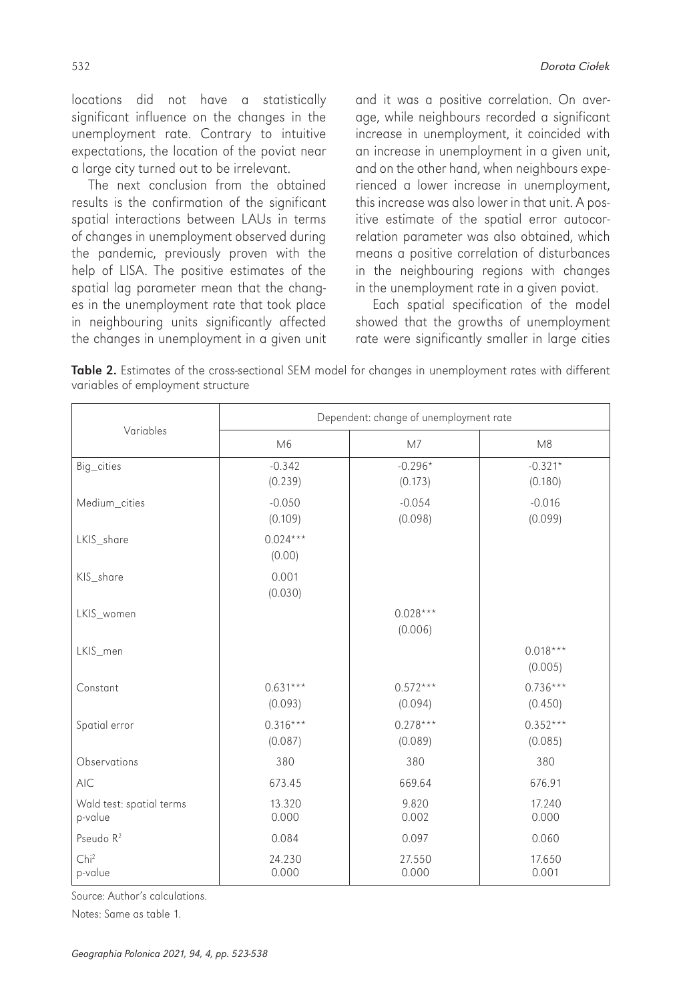locations did not have a statistically significant influence on the changes in the unemployment rate. Contrary to intuitive expectations, the location of the poviat near a large city turned out to be irrelevant.

The next conclusion from the obtained results is the confirmation of the significant spatial interactions between LAUs in terms of changes in unemployment observed during the pandemic, previously proven with the help of LISA. The positive estimates of the spatial lag parameter mean that the changes in the unemployment rate that took place in neighbouring units significantly affected the changes in unemployment in a given unit and it was a positive correlation. On average, while neighbours recorded a significant increase in unemployment, it coincided with an increase in unemployment in a given unit, and on the other hand, when neighbours experienced a lower increase in unemployment, this increase was also lower in that unit. A positive estimate of the spatial error autocorrelation parameter was also obtained, which means a positive correlation of disturbances in the neighbouring regions with changes in the unemployment rate in a given poviat.

Each spatial specification of the model showed that the growths of unemployment rate were significantly smaller in large cities

| Table 2. Estimates of the cross-sectional SEM model for changes in unemployment rates with different |  |  |  |  |  |
|------------------------------------------------------------------------------------------------------|--|--|--|--|--|
| variables of employment structure                                                                    |  |  |  |  |  |

|                                     | Dependent: change of unemployment rate |                       |                       |  |  |  |
|-------------------------------------|----------------------------------------|-----------------------|-----------------------|--|--|--|
| Variables                           | M6                                     | M <sub>7</sub>        | M8                    |  |  |  |
| Big_cities                          | $-0.342$<br>(0.239)                    | $-0.296*$<br>(0.173)  | $-0.321*$<br>(0.180)  |  |  |  |
| Medium_cities                       | $-0.050$<br>(0.109)                    | $-0.054$<br>(0.098)   | $-0.016$<br>(0.099)   |  |  |  |
| LKIS_share                          | $0.024***$<br>(0.00)                   |                       |                       |  |  |  |
| KIS_share                           | 0.001<br>(0.030)                       |                       |                       |  |  |  |
| LKIS_women                          |                                        | $0.028***$<br>(0.006) |                       |  |  |  |
| LKIS_men                            |                                        |                       | $0.018***$<br>(0.005) |  |  |  |
| Constant                            | $0.631***$<br>(0.093)                  | $0.572***$<br>(0.094) | $0.736***$<br>(0.450) |  |  |  |
| Spatial error                       | $0.316***$<br>(0.087)                  | $0.278***$<br>(0.089) | $0.352***$<br>(0.085) |  |  |  |
| Observations                        | 380                                    | 380                   | 380                   |  |  |  |
| <b>AIC</b>                          | 673.45                                 | 669.64                | 676.91                |  |  |  |
| Wald test: spatial terms<br>p-value | 13.320<br>0.000                        | 9.820<br>0.002        | 17.240<br>0.000       |  |  |  |
| Pseudo R <sup>2</sup>               | 0.084                                  | 0.097                 | 0.060                 |  |  |  |
| Chi <sup>2</sup><br>p-value         | 24.230<br>0.000                        | 27.550<br>0.000       | 17.650<br>0.001       |  |  |  |

Source: Author's calculations.

Notes: Same as table 1.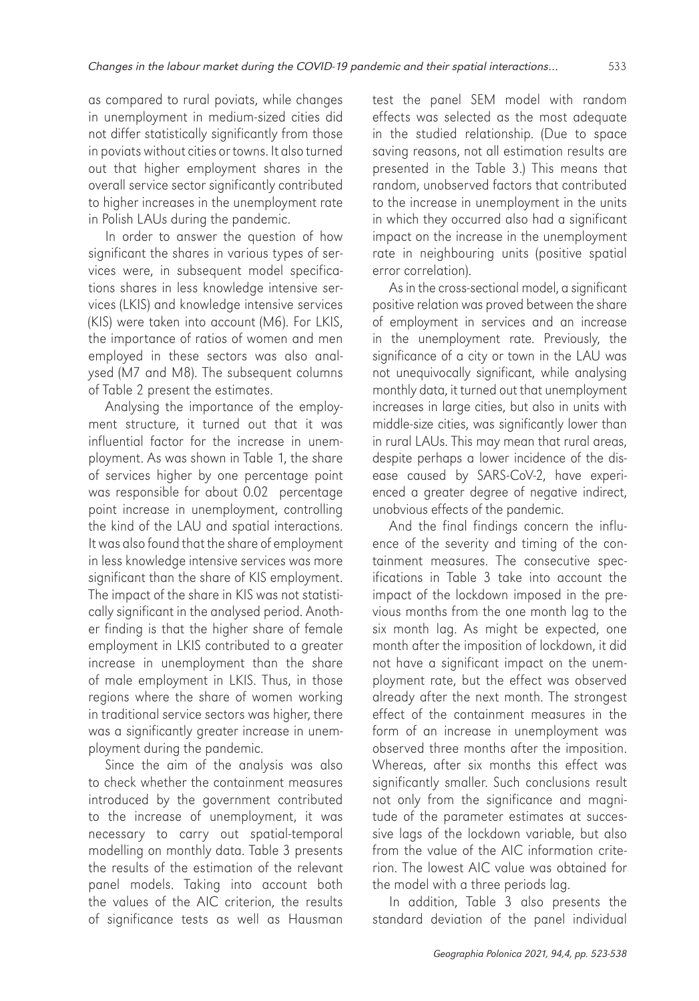as compared to rural poviats, while changes in unemployment in medium-sized cities did not differ statistically significantly from those in poviats without cities ortowns. It also turned out that higher employment shares in the overall service sector significantly contributed to higher increases in the unemployment rate in Polish LAUs during the pandemic.

In order to answer the question of how significant the shares in various types of services were, in subsequent model specifications shares in less knowledge intensive services (LKIS) and knowledge intensive services (KIS) were taken into account (M6). For LKIS, the importance of ratios of women and men employed in these sectors was also analysed (M7 and M8). The subsequent columns of Table 2 present the estimates.

Analysing the importance of the employment structure, it turned out that it was influential factor for the increase in unemployment. As was shown in Table 1, the share of services higher by one percentage point was responsible for about 0.02 percentage point increase in unemployment, controlling the kind of the LAU and spatial interactions. Itwas also found that the share of employment in less knowledge intensive services was more significant than the share of KIS employment. The impact of the share in KIS was not statistically significant in the analysed period. Another finding is that the higher share of female employment in LKIS contributed to a greater increase in unemployment than the share of male employment in LKIS. Thus, in those regions where the share of women working in traditional service sectors was higher, there was a significantly greater increase in unemployment during the pandemic.

Since the aim of the analysis was also to check whether the containment measures introduced by the government contributed to the increase of unemployment, it was necessary to carry out spatial-temporal modelling on monthly data. Table 3 presents the results of the estimation of the relevant panel models. Taking into account both the values of the AIC criterion, the results of significance tests as well as Hausman

test the panel SEM model with random effects was selected as the most adequate in the studied relationship. (Due to space saving reasons, not all estimation results are presented in the Table 3.) This means that random, unobserved factors that contributed to the increase in unemployment in the units in which they occurred also had a significant impact on the increase in the unemployment rate in neighbouring units (positive spatial error correlation).

As in the cross-sectional model, a significant positive relation was proved between the share of employment in services and an increase in the unemployment rate. Previously, the significance of a city or town in the LAU was not unequivocally significant, while analysing monthly data, it turned out that unemployment increases in large cities, but also in units with middle-size cities, was significantly lower than in rural LAUs. This may mean that rural areas, despite perhaps a lower incidence of the disease caused by SARS-CoV-2, have experienced a greater degree of negative indirect, unobvious effects of the pandemic.

And the final findings concern the influence of the severity and timing of the containment measures. The consecutive specifications in Table 3 take into account the impact of the lockdown imposed in the previous months from the one month lag to the six month lag. As might be expected, one month after the imposition of lockdown, it did not have a significant impact on the unemployment rate, but the effect was observed already after the next month. The strongest effect of the containment measures in the form of an increase in unemployment was observed three months after the imposition. Whereas, after six months this effect was significantly smaller. Such conclusions result not only from the significance and magnitude of the parameter estimates at successive lags of the lockdown variable, but also from the value of the AIC information criterion. The lowest AIC value was obtained for the model with a three periods lag.

In addition, Table 3 also presents the standard deviation of the panel individual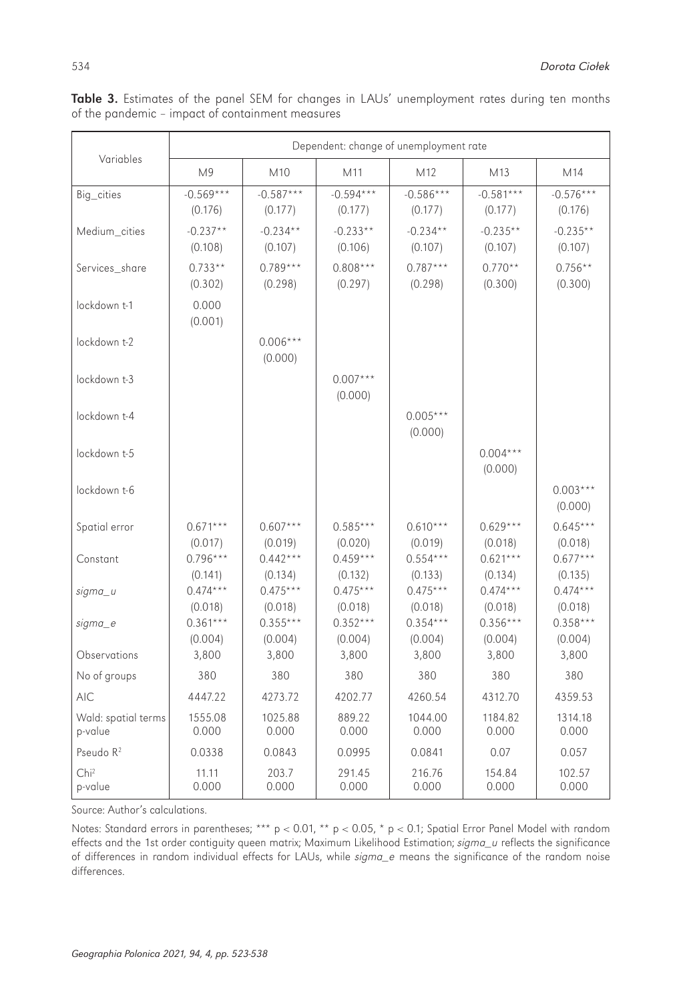|                                | Dependent: change of unemployment rate |                        |                        |                        |                        |                        |  |  |  |
|--------------------------------|----------------------------------------|------------------------|------------------------|------------------------|------------------------|------------------------|--|--|--|
| Variables                      | M <sup>9</sup>                         | M10                    | M11                    | M <sub>12</sub>        | M13                    | M14                    |  |  |  |
| Big_cities                     | $-0.569***$<br>(0.176)                 | $-0.587***$<br>(0.177) | $-0.594***$<br>(0.177) | $-0.586***$<br>(0.177) | $-0.581***$<br>(0.177) | $-0.576***$<br>(0.176) |  |  |  |
| Medium cities                  | $-0.237**$<br>(0.108)                  | $-0.234**$<br>(0.107)  | $-0.233**$<br>(0.106)  | $-0.234**$<br>(0.107)  | $-0.235**$<br>(0.107)  | $-0.235**$<br>(0.107)  |  |  |  |
| Services_share                 | $0.733**$<br>(0.302)                   | $0.789***$<br>(0.298)  | $0.808***$<br>(0.297)  | $0.787***$<br>(0.298)  | $0.770**$<br>(0.300)   | $0.756**$<br>(0.300)   |  |  |  |
| lockdown t-1                   | 0.000<br>(0.001)                       |                        |                        |                        |                        |                        |  |  |  |
| lockdown t-2                   |                                        | $0.006***$<br>(0.000)  |                        |                        |                        |                        |  |  |  |
| lockdown t-3                   |                                        |                        | $0.007***$<br>(0.000)  |                        |                        |                        |  |  |  |
| lockdown t-4                   |                                        |                        |                        | $0.005***$<br>(0.000)  |                        |                        |  |  |  |
| lockdown t-5                   |                                        |                        |                        |                        | $0.004***$<br>(0.000)  |                        |  |  |  |
| lockdown t-6                   |                                        |                        |                        |                        |                        | $0.003***$<br>(0.000)  |  |  |  |
| Spatial error                  | $0.671***$<br>(0.017)                  | $0.607***$<br>(0.019)  | $0.585***$<br>(0.020)  | $0.610***$<br>(0.019)  | $0.629***$<br>(0.018)  | $0.645***$<br>(0.018)  |  |  |  |
| Constant                       | $0.796***$<br>(0.141)                  | $0.442***$<br>(0.134)  | $0.459***$<br>(0.132)  | $0.554***$<br>(0.133)  | $0.621***$<br>(0.134)  | $0.677***$<br>(0.135)  |  |  |  |
| sigma_u                        | $0.474***$<br>(0.018)                  | $0.475***$<br>(0.018)  | $0.475***$<br>(0.018)  | $0.475***$<br>(0.018)  | $0.474***$<br>(0.018)  | $0.474***$<br>(0.018)  |  |  |  |
| sigma_e                        | $0.361***$<br>(0.004)                  | $0.355***$<br>(0.004)  | $0.352***$<br>(0.004)  | $0.354***$<br>(0.004)  | $0.356***$<br>(0.004)  | $0.358***$<br>(0.004)  |  |  |  |
| Observations                   | 3,800                                  | 3,800                  | 3,800                  | 3,800                  | 3,800                  | 3,800                  |  |  |  |
| No of groups                   | 380                                    | 380                    | 380                    | 380                    | 380                    | 380                    |  |  |  |
| <b>AIC</b>                     | 4447.22                                | 4273.72                | 4202.77                | 4260.54                | 4312.70                | 4359.53                |  |  |  |
| Wald: spatial terms<br>p-value | 1555.08<br>0.000                       | 1025.88<br>0.000       | 889.22<br>0.000        | 1044.00<br>0.000       | 1184.82<br>0.000       | 1314.18<br>0.000       |  |  |  |
| Pseudo R <sup>2</sup>          | 0.0338                                 | 0.0843                 | 0.0995                 | 0.0841                 | 0.07                   | 0.057                  |  |  |  |
| Chi <sup>2</sup><br>p-value    | 11.11<br>0.000                         | 203.7<br>0.000         | 291.45<br>0.000        | 216.76<br>0.000        | 154.84<br>0.000        | 102.57<br>0.000        |  |  |  |

Table 3. Estimates of the panel SEM for changes in LAUs' unemployment rates during ten months of the pandemic – impact of containment measures

Source: Author's calculations.

Notes: Standard errors in parentheses; \*\*\* p < 0.01, \*\* p < 0.05, \* p < 0.1; Spatial Error Panel Model with random effects and the 1st order contiguity queen matrix; Maximum Likelihood Estimation; sigma\_u reflects the significance of differences in random individual effects for LAUs, while sigma\_e means the significance of the random noise differences.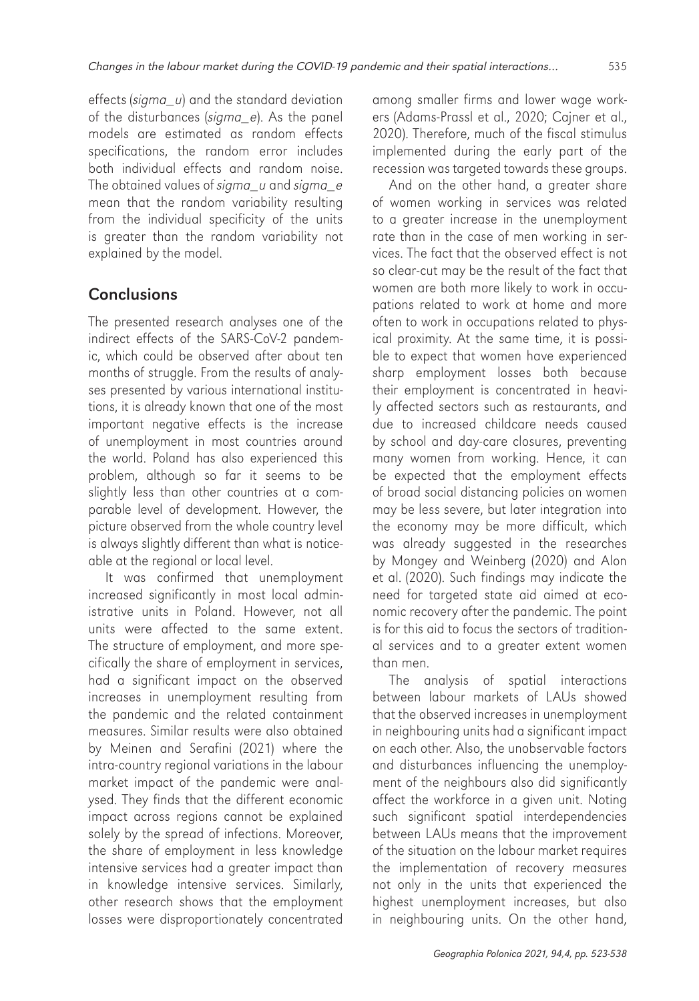effects (sigma\_u) and the standard deviation of the disturbances (sigma e). As the panel models are estimated as random effects specifications, the random error includes both individual effects and random noise. The obtained values of sigma\_u and sigma\_e mean that the random variability resulting from the individual specificity of the units is greater than the random variability not explained by the model.

## **Conclusions**

The presented research analyses one of the indirect effects of the SARS-CoV-2 pandemic, which could be observed after about ten months of struggle. From the results of analyses presented by various international institutions, it is already known that one of the most important negative effects is the increase of unemployment in most countries around the world. Poland has also experienced this problem, although so far it seems to be slightly less than other countries at a comparable level of development. However, the picture observed from the whole country level is always slightly different than what is noticeable at the regional or local level.

It was confirmed that unemployment increased significantly in most local administrative units in Poland. However, not all units were affected to the same extent. The structure of employment, and more specifically the share of employment in services, had a significant impact on the observed increases in unemployment resulting from the pandemic and the related containment measures. Similar results were also obtained by Meinen and Serafini (2021) where the intra-country regional variations in the labour market impact of the pandemic were analysed. They finds that the different economic impact across regions cannot be explained solely by the spread of infections. Moreover, the share of employment in less knowledge intensive services had a greater impact than in knowledge intensive services. Similarly, other research shows that the employment losses were disproportionately concentrated among smaller firms and lower wage workers (Adams-Prassl et al., 2020; Cajner et al., 2020). Therefore, much of the fiscal stimulus implemented during the early part of the recession was targeted towards these groups.

And on the other hand, a greater share of women working in services was related to a greater increase in the unemployment rate than in the case of men working in services. The fact that the observed effect is not so clear-cut may be the result of the fact that women are both more likely to work in occupations related to work at home and more often to work in occupations related to physical proximity. At the same time, it is possible to expect that women have experienced sharp employment losses both because their employment is concentrated in heavily affected sectors such as restaurants, and due to increased childcare needs caused by school and day-care closures, preventing many women from working. Hence, it can be expected that the employment effects of broad social distancing policies on women may be less severe, but later integration into the economy may be more difficult, which was already suggested in the researches by Mongey and Weinberg (2020) and Alon et al. (2020). Such findings may indicate the need for targeted state aid aimed at economic recovery after the pandemic. The point is for this aid to focus the sectors of traditional services and to a greater extent women than men.

The analysis of spatial interactions between labour markets of LAUs showed that the observed increases in unemployment in neighbouring units had a significant impact on each other. Also, the unobservable factors and disturbances influencing the unemployment of the neighbours also did significantly affect the workforce in a given unit. Noting such significant spatial interdependencies between LAUs means that the improvement of the situation on the labour market requires the implementation of recovery measures not only in the units that experienced the highest unemployment increases, but also in neighbouring units. On the other hand,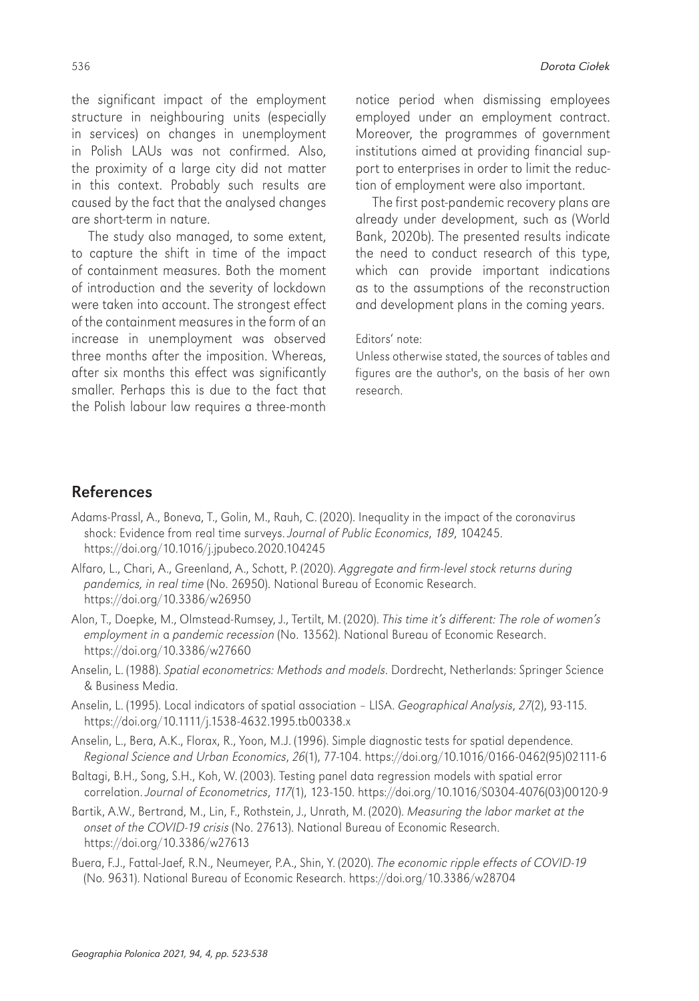the significant impact of the employment structure in neighbouring units (especially in services) on changes in unemployment in Polish LAUs was not confirmed. Also, the proximity of a large city did not matter in this context. Probably such results are caused by the fact that the analysed changes are short-term in nature.

The study also managed, to some extent, to capture the shift in time of the impact of containment measures. Both the moment of introduction and the severity of lockdown were taken into account. The strongest effect of the containment measures in the form of an increase in unemployment was observed three months after the imposition. Whereas, after six months this effect was significantly smaller. Perhaps this is due to the fact that the Polish labour law requires a three-month

536 Dorota Ciołek

notice period when dismissing employees employed under an employment contract. Moreover, the programmes of government institutions aimed at providing financial support to enterprises in order to limit the reduction of employment were also important.

The first post-pandemic recovery plans are already under development, such as (World Bank, 2020b). The presented results indicate the need to conduct research of this type, which can provide important indications as to the assumptions of the reconstruction and development plans in the coming years.

#### Editors' note:

Unless otherwise stated, the sources of tables and figures are the author's, on the basis of her own research.

### References

Adams-Prassl, A., Boneva, T., Golin, M., Rauh, C. (2020). Inequality in the impact of the coronavirus shock: Evidence from real time surveys. Journal of Public Economics, 189, 104245. https://doi.org/10.1016/j.jpubeco.2020.104245

Alfaro, L., Chari, A., Greenland, A., Schott, P. (2020). Aggregate and firm-level stock returns during pandemics, in real time (No. 26950). National Bureau of Economic Research. https://doi.org/10.3386/w26950

Alon, T., Doepke, M., Olmstead-Rumsey, J., Tertilt, M. (2020). This time it's different: The role of women's employment in a pandemic recession (No. 13562). National Bureau of Economic Research. https://doi.org/10.3386/w27660

Anselin, L. (1988). Spatial econometrics: Methods and models. Dordrecht, Netherlands: Springer Science & Business Media.

Anselin, L. (1995). Local indicators of spatial association – LISA. Geographical Analysis, 27(2), 93-115. https://doi.org/10.1111/j.1538-4632.1995.tb00338.x

- Anselin, L., Bera, A.K., Florax, R., Yoon, M.J. (1996). Simple diagnostic tests for spatial dependence. Regional Science and Urban Economics, 26(1), 77-104. [https://doi.org/10.1016/0166-0462\(95\)02111-6](https://doi.org/10.1016/0166-0462(95)02111-6)
- Baltagi, B.H., Song, S.H., Koh, W. (2003). Testing panel data regression models with spatial error correlation. Journal of Econometrics, 117(1), 123-150. [https://doi.org/10.1016/S0304-4076\(03\)00120-9](https://doi.org/10.1016/S0304-4076(03)00120-9)

Bartik, A.W., Bertrand, M., Lin, F., Rothstein, J., Unrath, M. (2020). Measuring the labor market at the onset of the COVID-19 crisis (No. 27613). National Bureau of Economic Research. https://doi.org/10.3386/w27613

Buera, F.J., Fattal-Jaef, R.N., Neumeyer, P.A., Shin, Y. (2020). The economic ripple effects of COVID-19 (No. 9631). National Bureau of Economic Research.<https://doi.org/10.3386/w28704>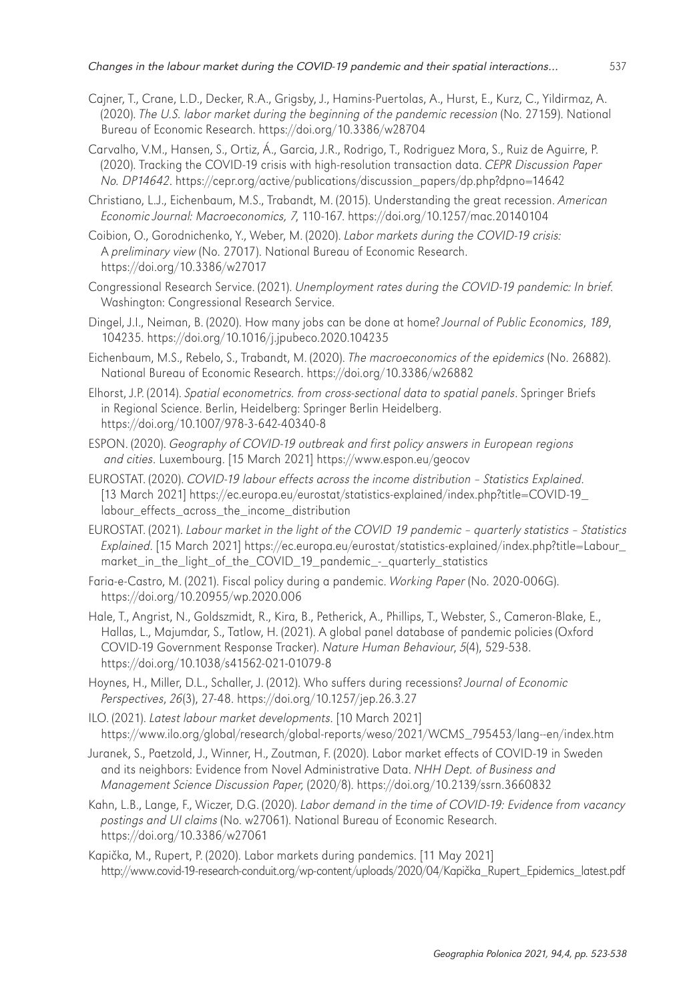- Cajner, T., Crane, L.D., Decker, R.A., Grigsby, J., Hamins-Puertolas, A., Hurst, E., Kurz, C., Yildirmaz, A. (2020). The U.S. labor market during the beginning of the pandemic recession (No. 27159). National Bureau of Economic Research. https://doi.org/10.3386/w28704
- Carvalho, V.M., Hansen, S., Ortiz, Á., Garcia, J.R., Rodrigo, T., Rodriguez Mora, S., Ruiz de Aguirre, P. (2020). Tracking the COVID-19 crisis with high-resolution transaction data. CEPR Discussion Paper No. DP14642. https://cepr.org/active/publications/discussion\_papers/dp.php?dpno=14642
- Christiano, L.J., Eichenbaum, M.S., Trabandt, M. (2015). Understanding the great recession. American Economic Journal: Macroeconomics, 7, 110-167. https://doi.org/10.1257/mac.20140104
- Coibion, O., Gorodnichenko, Y., Weber, M. (2020). Labor markets during the COVID-19 crisis: A preliminary view (No. 27017). National Bureau of Economic Research. https://doi.org/10.3386/w27017
- Congressional Research Service. (2021). Unemployment rates during the COVID-19 pandemic: In brief. Washington: Congressional Research Service.
- Dingel, J.I., Neiman, B. (2020). How many jobs can be done at home? Journal of Public Economics, 189, 104235. https://doi.org/10.1016/j.jpubeco.2020.104235
- Eichenbaum, M.S., Rebelo, S., Trabandt, M. (2020). The macroeconomics of the epidemics (No. 26882). National Bureau of Economic Research. https://doi.org/10.3386/w26882
- Elhorst, J.P. (2014). Spatial econometrics. from cross-sectional data to spatial panels. Springer Briefs in Regional Science. Berlin, Heidelberg: Springer Berlin Heidelberg. https://doi.org/10.1007/978-3-642-40340-8
- ESPON. (2020). Geography of COVID-19 outbreak and first policy answers in European regions and cities. Luxembourg. [15 March 2021] https://www.espon.eu/geocov
- EUROSTAT. (2020). COVID-19 labour effects across the income distribution Statistics Explained. [13 March 2021] https://ec.europa.eu/eurostat/statistics-explained/index.php?title=COVID-19\_ labour\_effects\_across\_the\_income\_distribution
- EUROSTAT. (2021). Labour market in the light of the COVID 19 pandemic quarterly statistics Statistics Explained. [15 March 2021] https://ec.europa.eu/eurostat/statistics-explained/index.php?title=Labour\_ market\_in\_the\_light\_of\_the\_COVID\_19\_pandemic\_-\_quarterly\_statistics
- Faria-e-Castro, M. (2021). Fiscal policy during a pandemic. Working Paper (No. 2020-006G). <https://doi.org/10.20955/wp.2020.006>
- Hale, T., Angrist, N., Goldszmidt, R., Kira, B., Petherick, A., Phillips, T., Webster, S., Cameron-Blake, E., Hallas, L., Majumdar, S., Tatlow, H. (2021). A global panel database of pandemic policies (Oxford COVID-19 Government Response Tracker). Nature Human Behaviour, 5(4), 529-538. https://doi.org/10.1038/s41562-021-01079-8
- Hoynes, H., Miller, D.L., Schaller, J. (2012). Who suffers during recessions? Journal of Economic Perspectives, 26(3), 27-48. https://doi.org/10.1257/jep.26.3.27
- ILO. (2021). Latest labour market developments. [10 March 2021] https://www.ilo.org/global/research/global-reports/weso/2021/WCMS\_795453/lang--en/index.htm
- Juranek, S., Paetzold, J., Winner, H., Zoutman, F. (2020). Labor market effects of COVID-19 in Sweden and its neighbors: Evidence from Novel Administrative Data. NHH Dept. of Business and Management Science Discussion Paper, (2020/8). https://doi.org/10.2139/ssrn.3660832
- Kahn, L.B., Lange, F., Wiczer, D.G. (2020). Labor demand in the time of COVID-19: Evidence from vacancy postings and UI claims (No. w27061). National Bureau of Economic Research. https://doi.org/10.3386/w27061
- Kapička, M., Rupert, P. (2020). Labor markets during pandemics. [11 May 2021] http://www.covid-19-research-conduit.org/wp-content/uploads/2020/04/Kapička\_Rupert\_Epidemics\_latest.pdf